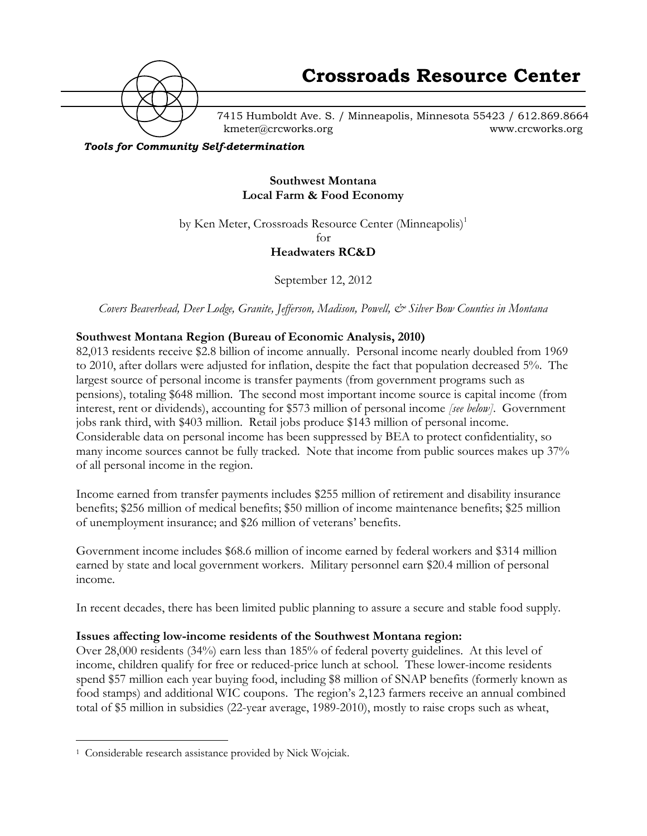

7415 Humboldt Ave. S. / Minneapolis, Minnesota 55423 / 612.869.8664 kmeter@crcworks.org www.crcworks.org

*Tools for Community Self-determination*

## **Southwest Montana Local Farm & Food Economy**

by Ken Meter, Crossroads Resource Center (Minneapolis)<sup>1</sup>

for

**Headwaters RC&D**

September 12, 2012

*Covers Beaverhead, Deer Lodge, Granite, Jefferson, Madison, Powell, & Silver Bow Counties in Montana*

### **Southwest Montana Region (Bureau of Economic Analysis, 2010)**

82,013 residents receive \$2.8 billion of income annually. Personal income nearly doubled from 1969 to 2010, after dollars were adjusted for inflation, despite the fact that population decreased 5%. The largest source of personal income is transfer payments (from government programs such as pensions), totaling \$648 million. The second most important income source is capital income (from interest, rent or dividends), accounting for \$573 million of personal income *[see below]*. Government jobs rank third, with \$403 million. Retail jobs produce \$143 million of personal income. Considerable data on personal income has been suppressed by BEA to protect confidentiality, so many income sources cannot be fully tracked. Note that income from public sources makes up 37% of all personal income in the region.

Income earned from transfer payments includes \$255 million of retirement and disability insurance benefits; \$256 million of medical benefits; \$50 million of income maintenance benefits; \$25 million of unemployment insurance; and \$26 million of veterans' benefits.

Government income includes \$68.6 million of income earned by federal workers and \$314 million earned by state and local government workers. Military personnel earn \$20.4 million of personal income.

In recent decades, there has been limited public planning to assure a secure and stable food supply.

### **Issues affecting low-income residents of the Southwest Montana region:**

Over 28,000 residents (34%) earn less than 185% of federal poverty guidelines. At this level of income, children qualify for free or reduced-price lunch at school. These lower-income residents spend \$57 million each year buying food, including \$8 million of SNAP benefits (formerly known as food stamps) and additional WIC coupons. The region's 2,123 farmers receive an annual combined total of \$5 million in subsidies (22-year average, 1989-2010), mostly to raise crops such as wheat,

 <sup>1</sup> Considerable research assistance provided by Nick Wojciak.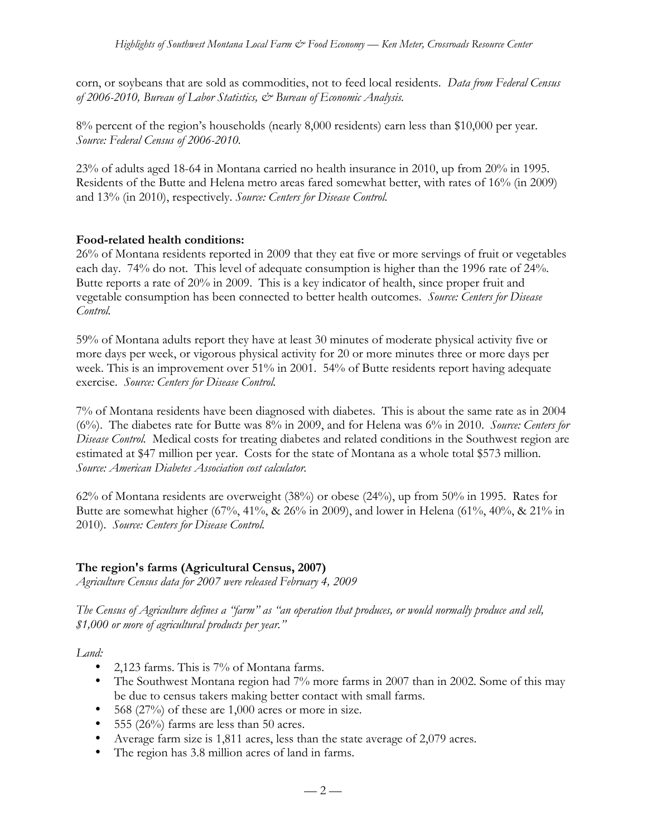corn, or soybeans that are sold as commodities, not to feed local residents. *Data from Federal Census of 2006-2010, Bureau of Labor Statistics, & Bureau of Economic Analysis.*

8% percent of the region's households (nearly 8,000 residents) earn less than \$10,000 per year. *Source: Federal Census of 2006-2010.*

23% of adults aged 18-64 in Montana carried no health insurance in 2010, up from 20% in 1995. Residents of the Butte and Helena metro areas fared somewhat better, with rates of 16% (in 2009) and 13% (in 2010), respectively. *Source: Centers for Disease Control.*

## **Food-related health conditions:**

26% of Montana residents reported in 2009 that they eat five or more servings of fruit or vegetables each day. 74% do not. This level of adequate consumption is higher than the 1996 rate of 24%. Butte reports a rate of 20% in 2009. This is a key indicator of health, since proper fruit and vegetable consumption has been connected to better health outcomes. *Source: Centers for Disease Control.*

59% of Montana adults report they have at least 30 minutes of moderate physical activity five or more days per week, or vigorous physical activity for 20 or more minutes three or more days per week. This is an improvement over 51% in 2001. 54% of Butte residents report having adequate exercise. *Source: Centers for Disease Control.*

7% of Montana residents have been diagnosed with diabetes. This is about the same rate as in 2004 (6%). The diabetes rate for Butte was 8% in 2009, and for Helena was 6% in 2010. *Source: Centers for Disease Control.* Medical costs for treating diabetes and related conditions in the Southwest region are estimated at \$47 million per year. Costs for the state of Montana as a whole total \$573 million. *Source: American Diabetes Association cost calculator.*

62% of Montana residents are overweight (38%) or obese (24%), up from 50% in 1995. Rates for Butte are somewhat higher (67%, 41%, & 26% in 2009), and lower in Helena (61%, 40%, & 21% in 2010). *Source: Centers for Disease Control.*

# **The region's farms (Agricultural Census, 2007)**

*Agriculture Census data for 2007 were released February 4, 2009*

*The Census of Agriculture defines a "farm" as "an operation that produces, or would normally produce and sell, \$1,000 or more of agricultural products per year."*

*Land:*

- 2,123 farms. This is 7% of Montana farms.
- The Southwest Montana region had 7% more farms in 2007 than in 2002. Some of this may be due to census takers making better contact with small farms.
- 568 (27%) of these are 1,000 acres or more in size.
- 555 (26%) farms are less than 50 acres.
- Average farm size is 1,811 acres, less than the state average of 2,079 acres.
- The region has 3.8 million acres of land in farms.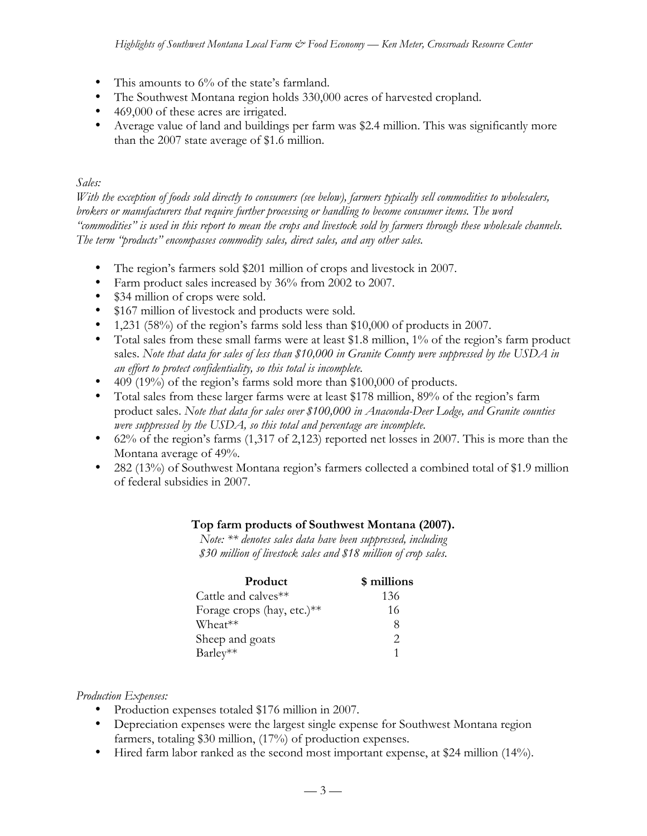- This amounts to 6% of the state's farmland.
- The Southwest Montana region holds 330,000 acres of harvested cropland.
- 469,000 of these acres are irrigated.
- Average value of land and buildings per farm was \$2.4 million. This was significantly more than the 2007 state average of \$1.6 million.

## *Sales:*

*With the exception of foods sold directly to consumers (see below), farmers typically sell commodities to wholesalers, brokers or manufacturers that require further processing or handling to become consumer items. The word "commodities" is used in this report to mean the crops and livestock sold by farmers through these wholesale channels. The term "products" encompasses commodity sales, direct sales, and any other sales.*

- The region's farmers sold \$201 million of crops and livestock in 2007.
- Farm product sales increased by 36% from 2002 to 2007.
- \$34 million of crops were sold.
- \$167 million of livestock and products were sold.
- 1,231 (58%) of the region's farms sold less than \$10,000 of products in 2007.
- Total sales from these small farms were at least \$1.8 million, 1% of the region's farm product sales. *Note that data for sales of less than \$10,000 in Granite County were suppressed by the USDA in an effort to protect confidentiality, so this total is incomplete.*
- 409 (19%) of the region's farms sold more than \$100,000 of products.
- Total sales from these larger farms were at least \$178 million, 89% of the region's farm product sales. *Note that data for sales over \$100,000 in Anaconda-Deer Lodge, and Granite counties were suppressed by the USDA, so this total and percentage are incomplete.*
- 62% of the region's farms (1,317 of 2,123) reported net losses in 2007. This is more than the Montana average of 49%.
- 282 (13%) of Southwest Montana region's farmers collected a combined total of \$1.9 million of federal subsidies in 2007.

### **Top farm products of Southwest Montana (2007).**

*Note: \*\* denotes sales data have been suppressed, including \$30 million of livestock sales and \$18 million of crop sales.*

| Product                    | \$ millions   |
|----------------------------|---------------|
| Cattle and calves**        | 136           |
| Forage crops (hay, etc.)** | 16            |
| Wheat**                    | 8             |
| Sheep and goats            | $\mathcal{D}$ |
| Barley**                   |               |

*Production Expenses:*

- Production expenses totaled \$176 million in 2007.
- Depreciation expenses were the largest single expense for Southwest Montana region farmers, totaling \$30 million, (17%) of production expenses.
- Hired farm labor ranked as the second most important expense, at \$24 million (14%).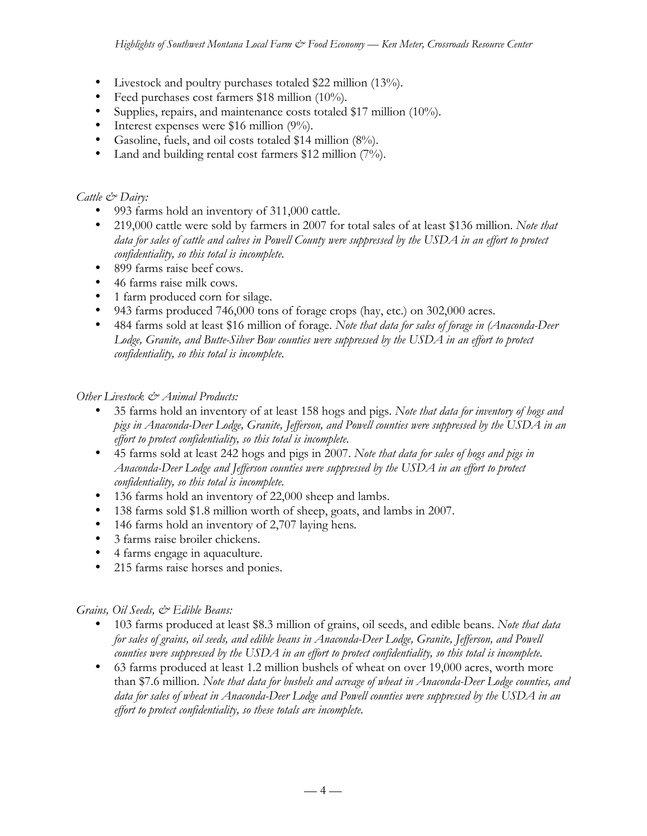- Livestock and poultry purchases totaled \$22 million (13%).
- Feed purchases cost farmers \$18 million (10%).
- Supplies, repairs, and maintenance costs totaled \$17 million (10%).
- Interest expenses were \$16 million (9%).
- Gasoline, fuels, and oil costs totaled \$14 million (8%).
- Land and building rental cost farmers \$12 million (7%).

# *Cattle & Dairy:*

- 993 farms hold an inventory of 311,000 cattle.
- 219,000 cattle were sold by farmers in 2007 for total sales of at least \$136 million. *Note that data for sales of cattle and calves in Powell County were suppressed by the USDA in an effort to protect confidentiality, so this total is incomplete.*
- 899 farms raise beef cows.
- 46 farms raise milk cows.
- 1 farm produced corn for silage.
- 943 farms produced 746,000 tons of forage crops (hay, etc.) on 302,000 acres.
- 484 farms sold at least \$16 million of forage. *Note that data for sales of forage in (Anaconda-Deer Lodge, Granite, and Butte-Silver Bow counties were suppressed by the USDA in an effort to protect confidentiality, so this total is incomplete.*

## *Other Livestock & Animal Products:*

- 35 farms hold an inventory of at least 158 hogs and pigs. *Note that data for inventory of hogs and pigs in Anaconda-Deer Lodge, Granite, Jefferson, and Powell counties were suppressed by the USDA in an effort to protect confidentiality, so this total is incomplete.*
- 45 farms sold at least 242 hogs and pigs in 2007. *Note that data for sales of hogs and pigs in Anaconda-Deer Lodge and Jefferson counties were suppressed by the USDA in an effort to protect confidentiality, so this total is incomplete.*
- 136 farms hold an inventory of 22,000 sheep and lambs.
- 138 farms sold \$1.8 million worth of sheep, goats, and lambs in 2007.
- 146 farms hold an inventory of 2,707 laying hens*.*
- 3 farms raise broiler chickens.
- 4 farms engage in aquaculture.
- 215 farms raise horses and ponies.

### *Grains, Oil Seeds, & Edible Beans:*

- 103 farms produced at least \$8.3 million of grains, oil seeds, and edible beans. *Note that data for sales of grains, oil seeds, and edible beans in Anaconda-Deer Lodge, Granite, Jefferson, and Powell counties were suppressed by the USDA in an effort to protect confidentiality, so this total is incomplete.*
- 63 farms produced at least 1.2 million bushels of wheat on over 19,000 acres, worth more than \$7.6 million. *Note that data for bushels and acreage of wheat in Anaconda-Deer Lodge counties, and data for sales of wheat in Anaconda-Deer Lodge and Powell counties were suppressed by the USDA in an effort to protect confidentiality, so these totals are incomplete.*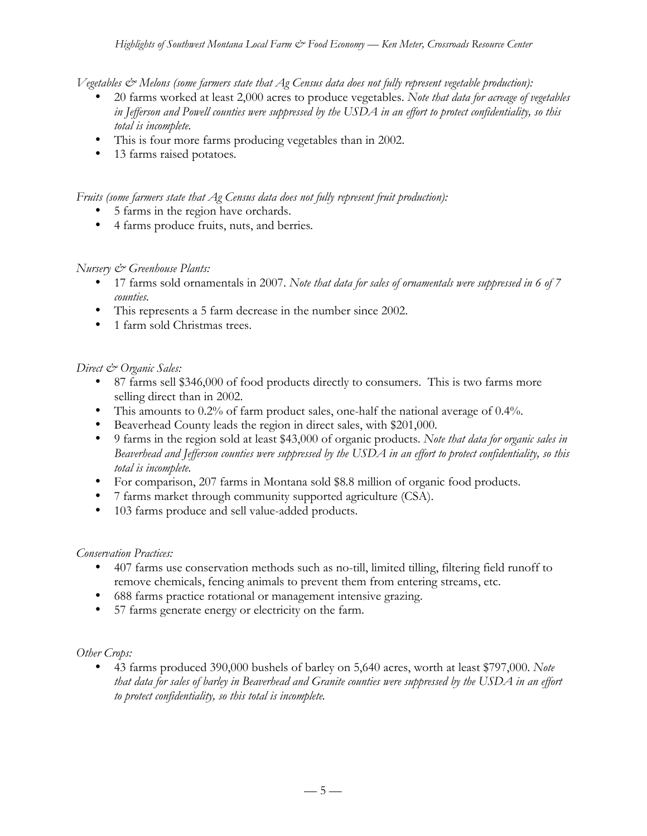*Vegetables & Melons (some farmers state that Ag Census data does not fully represent vegetable production):*

- 20 farms worked at least 2,000 acres to produce vegetables. *Note that data for acreage of vegetables in Jefferson and Powell counties were suppressed by the USDA in an effort to protect confidentiality, so this total is incomplete.*
- This is four more farms producing vegetables than in 2002.
- 13 farms raised potatoes*.*

*Fruits (some farmers state that Ag Census data does not fully represent fruit production):*

- 5 farms in the region have orchards.
- 4 farms produce fruits, nuts, and berries*.*

### *Nursery & Greenhouse Plants:*

- 17 farms sold ornamentals in 2007. *Note that data for sales of ornamentals were suppressed in 6 of 7 counties.*
- This represents a 5 farm decrease in the number since 2002.
- 1 farm sold Christmas trees.

## *Direct & Organic Sales:*

- 87 farms sell \$346,000 of food products directly to consumers. This is two farms more selling direct than in 2002.
- This amounts to 0.2% of farm product sales, one-half the national average of 0.4%.
- Beaverhead County leads the region in direct sales, with \$201,000.
- 9 farms in the region sold at least \$43,000 of organic products. *Note that data for organic sales in Beaverhead and Jefferson counties were suppressed by the USDA in an effort to protect confidentiality, so this total is incomplete.*
- For comparison, 207 farms in Montana sold \$8.8 million of organic food products.
- 7 farms market through community supported agriculture (CSA).
- 103 farms produce and sell value-added products.

### *Conservation Practices:*

- 407 farms use conservation methods such as no-till, limited tilling, filtering field runoff to remove chemicals, fencing animals to prevent them from entering streams, etc.
- 688 farms practice rotational or management intensive grazing.
- 57 farms generate energy or electricity on the farm.

### *Other Crops:*

• 43 farms produced 390,000 bushels of barley on 5,640 acres, worth at least \$797,000. *Note that data for sales of barley in Beaverhead and Granite counties were suppressed by the USDA in an effort to protect confidentiality, so this total is incomplete.*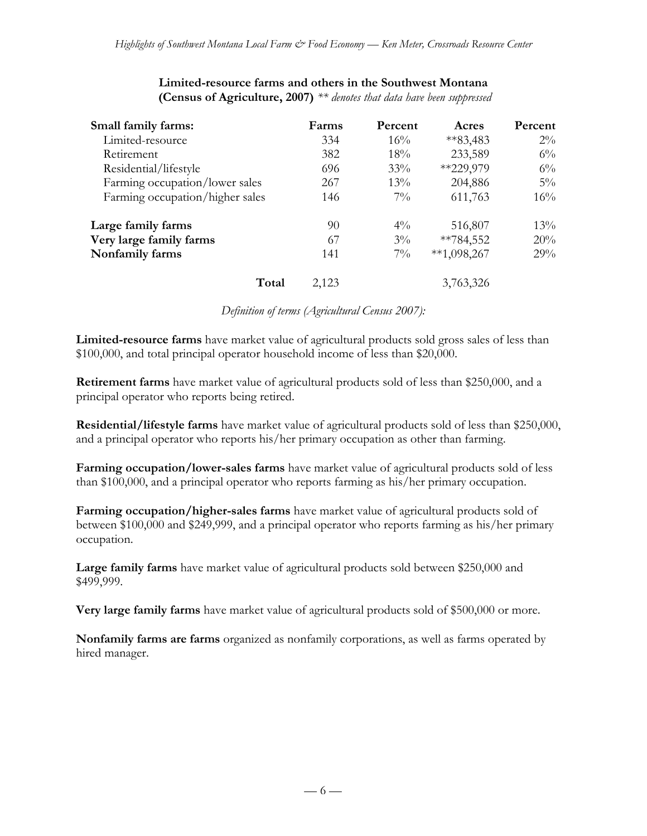| Small family farms:             | Farms | Percent | Acres         | Percent |
|---------------------------------|-------|---------|---------------|---------|
| Limited-resource                | 334   | $16\%$  | $*83,483$     | $2\%$   |
| Retirement                      | 382   | 18%     | 233,589       | $6\%$   |
| Residential/lifestyle           | 696   | 33%     | **229,979     | $6\%$   |
| Farming occupation/lower sales  | 267   | $13\%$  | 204,886       | $5\%$   |
| Farming occupation/higher sales | 146   | $7\%$   | 611,763       | 16%     |
| Large family farms              | 90    | $4\%$   | 516,807       | 13%     |
| Very large family farms         | 67    | $3\%$   | $*$ *784,552  | 20%     |
| Nonfamily farms                 | 141   | $7\%$   | $**1,098,267$ | 29%     |
| Total                           | 2,123 |         | 3,763,326     |         |

#### **Limited-resource farms and others in the Southwest Montana (Census of Agriculture, 2007)** *\*\* denotes that data have been suppressed*

*Definition of terms (Agricultural Census 2007):*

**Limited-resource farms** have market value of agricultural products sold gross sales of less than \$100,000, and total principal operator household income of less than \$20,000.

**Retirement farms** have market value of agricultural products sold of less than \$250,000, and a principal operator who reports being retired.

**Residential/lifestyle farms** have market value of agricultural products sold of less than \$250,000, and a principal operator who reports his/her primary occupation as other than farming.

**Farming occupation/lower-sales farms** have market value of agricultural products sold of less than \$100,000, and a principal operator who reports farming as his/her primary occupation.

**Farming occupation/higher-sales farms** have market value of agricultural products sold of between \$100,000 and \$249,999, and a principal operator who reports farming as his/her primary occupation.

**Large family farms** have market value of agricultural products sold between \$250,000 and \$499,999.

**Very large family farms** have market value of agricultural products sold of \$500,000 or more.

**Nonfamily farms are farms** organized as nonfamily corporations, as well as farms operated by hired manager.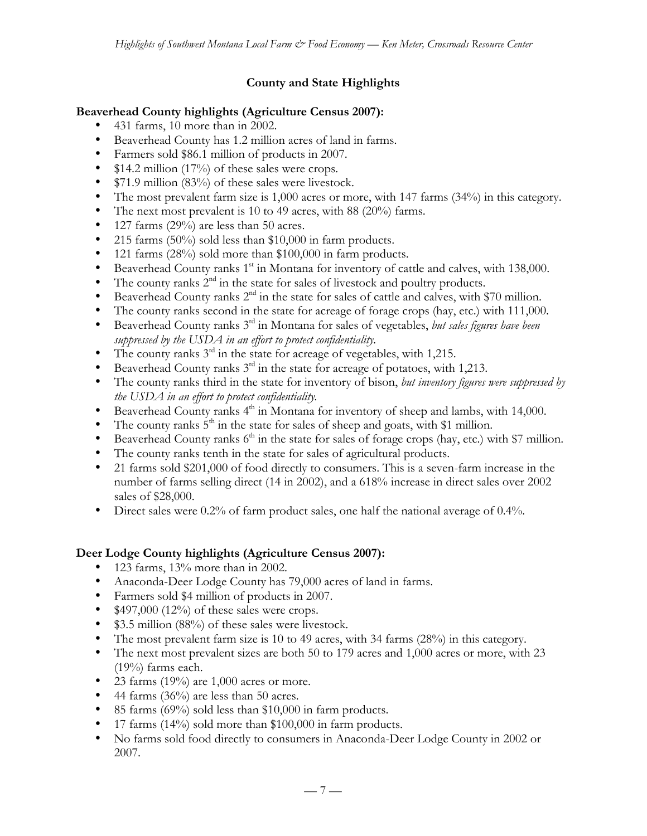# **County and State Highlights**

## **Beaverhead County highlights (Agriculture Census 2007):**

- 431 farms, 10 more than in 2002.
- Beaverhead County has 1.2 million acres of land in farms.
- Farmers sold \$86.1 million of products in 2007.
- \$14.2 million (17%) of these sales were crops.
- \$71.9 million (83%) of these sales were livestock.
- The most prevalent farm size is 1,000 acres or more, with 147 farms (34%) in this category.
- The next most prevalent is 10 to 49 acres, with 88 (20%) farms.
- 127 farms (29%) are less than 50 acres.
- 215 farms (50%) sold less than \$10,000 in farm products.
- 121 farms (28%) sold more than \$100,000 in farm products.
- Beaverhead County ranks  $1<sup>st</sup>$  in Montana for inventory of cattle and calves, with 138,000.
- The county ranks  $2<sup>nd</sup>$  in the state for sales of livestock and poultry products.
- Beaverhead County ranks  $2<sup>nd</sup>$  in the state for sales of cattle and calves, with \$70 million.
- The county ranks second in the state for acreage of forage crops (hay, etc.) with 111,000.
- Beaverhead County ranks 3rd in Montana for sales of vegetables, *but sales figures have been suppressed by the USDA in an effort to protect confidentiality.*
- The county ranks  $3<sup>rd</sup>$  in the state for acreage of vegetables, with 1,215.
- Beaverhead County ranks  $3<sup>rd</sup>$  in the state for acreage of potatoes, with 1,213.
- The county ranks third in the state for inventory of bison, *but inventory figures were suppressed by the USDA in an effort to protect confidentiality.*
- Beaverhead County ranks  $4<sup>th</sup>$  in Montana for inventory of sheep and lambs, with 14,000.
- The county ranks  $5<sup>th</sup>$  in the state for sales of sheep and goats, with \$1 million.
- Beaverhead County ranks  $6<sup>th</sup>$  in the state for sales of forage crops (hay, etc.) with \$7 million.
- The county ranks tenth in the state for sales of agricultural products.
- 21 farms sold \$201,000 of food directly to consumers. This is a seven-farm increase in the number of farms selling direct (14 in 2002), and a 618% increase in direct sales over 2002 sales of \$28,000.
- Direct sales were 0.2% of farm product sales, one half the national average of 0.4%.

### **Deer Lodge County highlights (Agriculture Census 2007):**

- 123 farms, 13% more than in 2002.
- Anaconda-Deer Lodge County has 79,000 acres of land in farms.
- Farmers sold \$4 million of products in 2007.
- \$497,000 (12%) of these sales were crops.
- \$3.5 million (88%) of these sales were livestock.
- The most prevalent farm size is 10 to 49 acres, with 34 farms (28%) in this category.
- The next most prevalent sizes are both 50 to 179 acres and 1,000 acres or more, with 23 (19%) farms each.
- 23 farms  $(19\%)$  are 1,000 acres or more.
- 44 farms (36%) are less than 50 acres.
- 85 farms (69%) sold less than \$10,000 in farm products.
- 17 farms (14%) sold more than \$100,000 in farm products.
- No farms sold food directly to consumers in Anaconda-Deer Lodge County in 2002 or 2007.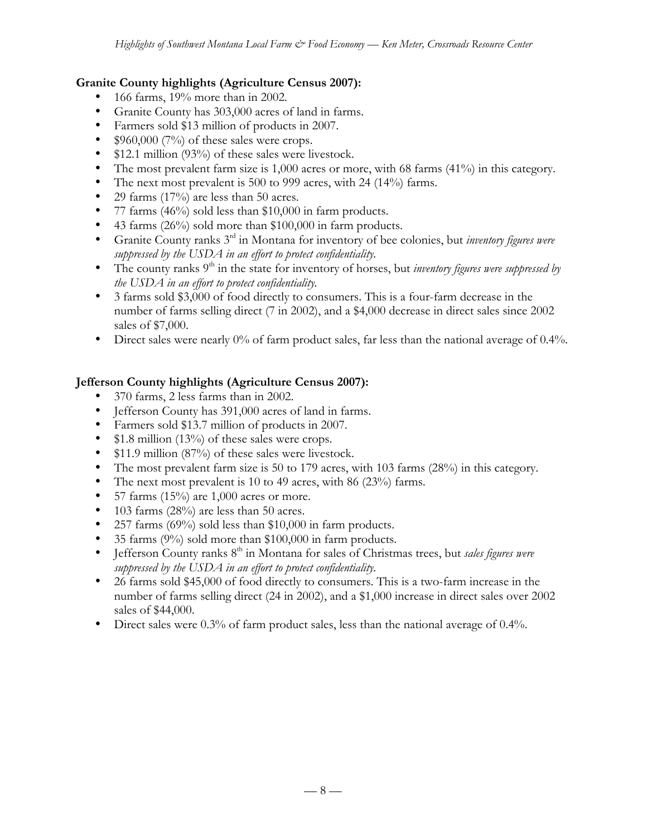## **Granite County highlights (Agriculture Census 2007):**

- 166 farms, 19% more than in 2002.
- Granite County has 303,000 acres of land in farms.
- Farmers sold \$13 million of products in 2007.
- $$960,000 (7%)$  of these sales were crops.
- \$12.1 million (93%) of these sales were livestock.
- The most prevalent farm size is 1,000 acres or more, with 68 farms (41%) in this category.
- The next most prevalent is 500 to 999 acres, with 24 (14%) farms.
- 29 farms  $(17%)$  are less than 50 acres.
- 77 farms (46%) sold less than \$10,000 in farm products.
- 43 farms (26%) sold more than \$100,000 in farm products.
- Granite County ranks 3rd in Montana for inventory of bee colonies, but *inventory figures were suppressed by the USDA in an effort to protect confidentiality.*
- The county ranks 9<sup>th</sup> in the state for inventory of horses, but *inventory figures were suppressed by the USDA in an effort to protect confidentiality.*
- 3 farms sold \$3,000 of food directly to consumers. This is a four-farm decrease in the number of farms selling direct (7 in 2002), and a \$4,000 decrease in direct sales since 2002 sales of \$7,000.
- Direct sales were nearly 0% of farm product sales, far less than the national average of 0.4%.

### **Jefferson County highlights (Agriculture Census 2007):**

- 370 farms, 2 less farms than in 2002.
- Jefferson County has 391,000 acres of land in farms.
- Farmers sold \$13.7 million of products in 2007.
- \$1.8 million (13%) of these sales were crops.
- \$11.9 million (87%) of these sales were livestock.
- The most prevalent farm size is 50 to 179 acres, with 103 farms (28%) in this category.
- The next most prevalent is 10 to 49 acres, with 86 (23%) farms.
- 57 farms  $(15%)$  are 1,000 acres or more.
- 103 farms (28%) are less than 50 acres.
- 257 farms (69%) sold less than \$10,000 in farm products.
- 35 farms (9%) sold more than \$100,000 in farm products.
- Jefferson County ranks 8th in Montana for sales of Christmas trees, but *sales figures were suppressed by the USDA in an effort to protect confidentiality.*
- 26 farms sold \$45,000 of food directly to consumers. This is a two-farm increase in the number of farms selling direct (24 in 2002), and a \$1,000 increase in direct sales over 2002 sales of \$44,000.
- Direct sales were 0.3% of farm product sales, less than the national average of 0.4%.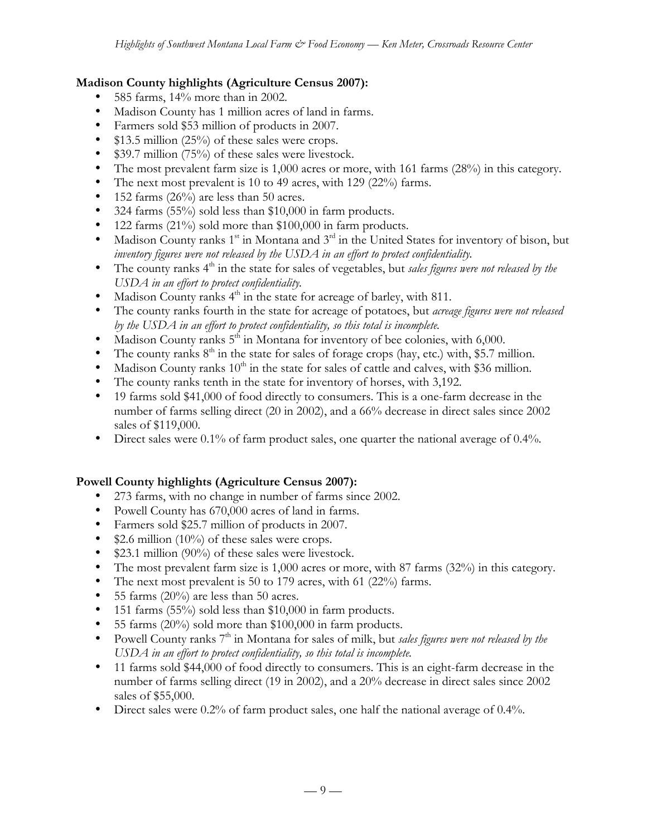## **Madison County highlights (Agriculture Census 2007):**

- 585 farms, 14% more than in 2002.
- Madison County has 1 million acres of land in farms.
- Farmers sold \$53 million of products in 2007.
- $$13.5$  million (25%) of these sales were crops.
- \$39.7 million (75%) of these sales were livestock.
- The most prevalent farm size is 1,000 acres or more, with 161 farms (28%) in this category.
- The next most prevalent is 10 to 49 acres, with 129 (22%) farms.
- 152 farms (26%) are less than 50 acres.
- 324 farms (55%) sold less than \$10,000 in farm products.
- 122 farms (21%) sold more than \$100,000 in farm products.
- Madison County ranks  $1^{st}$  in Montana and  $3^{rd}$  in the United States for inventory of bison, but *inventory figures were not released by the USDA in an effort to protect confidentiality.*
- The county ranks 4<sup>th</sup> in the state for sales of vegetables, but *sales figures were not released by the USDA in an effort to protect confidentiality.*
- Madison County ranks  $4<sup>th</sup>$  in the state for acreage of barley, with 811.
- The county ranks fourth in the state for acreage of potatoes, but *acreage figures were not released by the USDA in an effort to protect confidentiality, so this total is incomplete.*
- Madison County ranks  $5<sup>th</sup>$  in Montana for inventory of bee colonies, with 6,000.
- The county ranks  $8<sup>th</sup>$  in the state for sales of forage crops (hay, etc.) with, \$5.7 million.
- Madison County ranks  $10<sup>th</sup>$  in the state for sales of cattle and calves, with \$36 million.
- The county ranks tenth in the state for inventory of horses, with 3,192.
- 19 farms sold \$41,000 of food directly to consumers. This is a one-farm decrease in the number of farms selling direct (20 in 2002), and a 66% decrease in direct sales since 2002 sales of \$119,000.
- Direct sales were 0.1% of farm product sales, one quarter the national average of 0.4%.

### **Powell County highlights (Agriculture Census 2007):**

- 273 farms, with no change in number of farms since 2002.
- Powell County has 670,000 acres of land in farms.
- Farmers sold \$25.7 million of products in 2007.
- \$2.6 million (10%) of these sales were crops.
- \$23.1 million (90%) of these sales were livestock.
- The most prevalent farm size is 1,000 acres or more, with 87 farms (32%) in this category.
- The next most prevalent is 50 to 179 acres, with 61 (22%) farms.
- 55 farms  $(20\%)$  are less than 50 acres.
- 151 farms (55%) sold less than \$10,000 in farm products.
- 55 farms (20%) sold more than \$100,000 in farm products.
- Powell County ranks 7<sup>th</sup> in Montana for sales of milk, but *sales figures were not released by the USDA in an effort to protect confidentiality, so this total is incomplete.*
- 11 farms sold \$44,000 of food directly to consumers. This is an eight-farm decrease in the number of farms selling direct (19 in 2002), and a 20% decrease in direct sales since 2002 sales of \$55,000.
- Direct sales were 0.2% of farm product sales, one half the national average of 0.4%.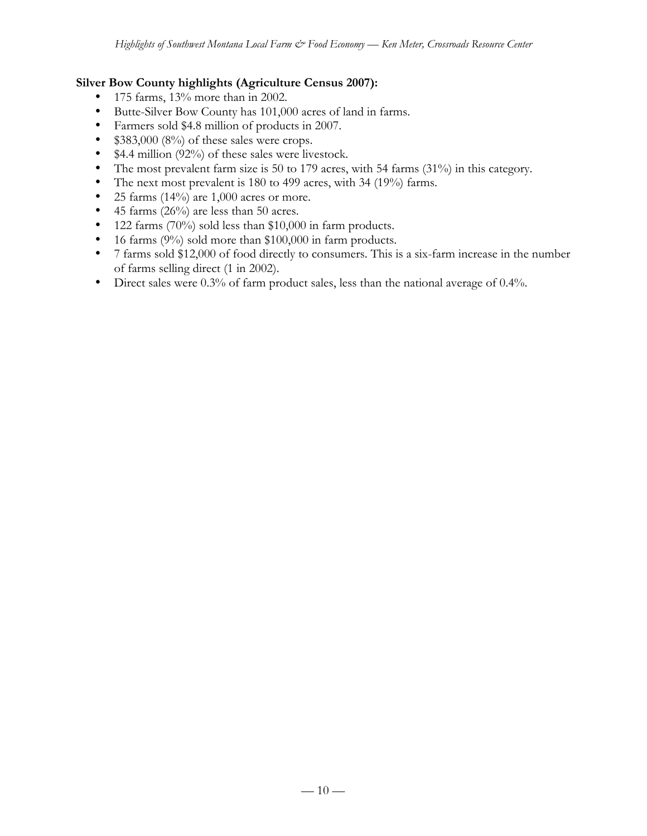## **Silver Bow County highlights (Agriculture Census 2007):**

- 175 farms, 13% more than in 2002.
- Butte-Silver Bow County has 101,000 acres of land in farms.
- Farmers sold \$4.8 million of products in 2007.
- $$383,000 (8%)$  of these sales were crops.
- \$4.4 million (92%) of these sales were livestock.
- The most prevalent farm size is 50 to 179 acres, with 54 farms (31%) in this category.
- The next most prevalent is 180 to 499 acres, with 34 (19%) farms.
- 25 farms  $(14\%)$  are 1,000 acres or more.
- 45 farms (26%) are less than 50 acres.
- 122 farms (70%) sold less than \$10,000 in farm products.
- 16 farms (9%) sold more than \$100,000 in farm products.
- 7 farms sold \$12,000 of food directly to consumers. This is a six-farm increase in the number of farms selling direct (1 in 2002).
- Direct sales were 0.3% of farm product sales, less than the national average of 0.4%.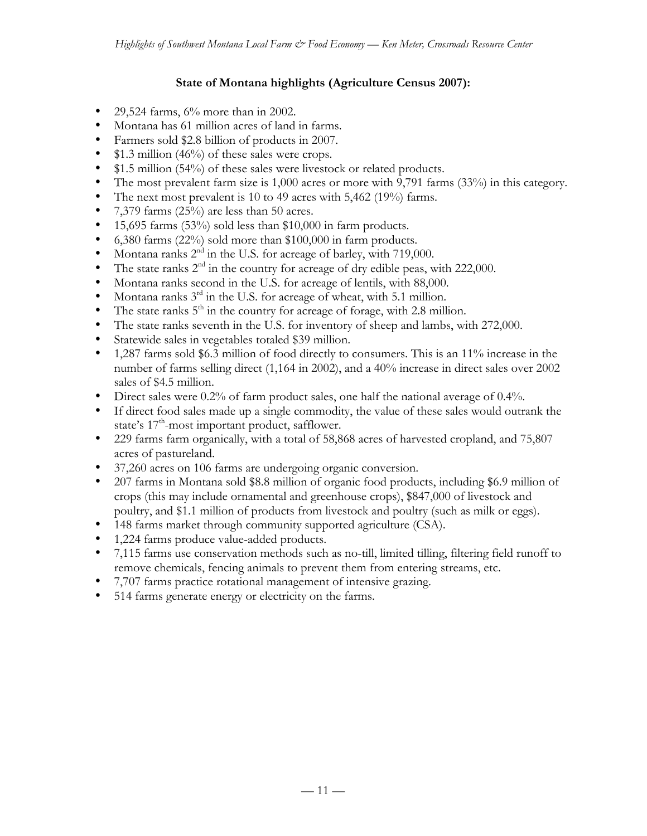# **State of Montana highlights (Agriculture Census 2007):**

- 29,524 farms, 6% more than in 2002.
- Montana has 61 million acres of land in farms.
- Farmers sold \$2.8 billion of products in 2007.
- \$1.3 million (46%) of these sales were crops.
- \$1.5 million (54%) of these sales were livestock or related products.
- The most prevalent farm size is 1,000 acres or more with 9,791 farms (33%) in this category.
- The next most prevalent is 10 to 49 acres with 5,462 (19%) farms.
- 7,379 farms  $(25%)$  are less than 50 acres.
- 15,695 farms (53%) sold less than \$10,000 in farm products.
- 6,380 farms (22%) sold more than \$100,000 in farm products.
- Montana ranks  $2<sup>nd</sup>$  in the U.S. for acreage of barley, with 719,000.
- The state ranks  $2<sup>nd</sup>$  in the country for acreage of dry edible peas, with 222,000.
- Montana ranks second in the U.S. for acreage of lentils, with 88,000.
- Montana ranks  $3<sup>rd</sup>$  in the U.S. for acreage of wheat, with 5.1 million.
- The state ranks  $5<sup>th</sup>$  in the country for acreage of forage, with 2.8 million.
- The state ranks seventh in the U.S. for inventory of sheep and lambs, with 272,000.
- Statewide sales in vegetables totaled \$39 million.
- 1,287 farms sold \$6.3 million of food directly to consumers. This is an 11% increase in the number of farms selling direct (1,164 in 2002), and a 40% increase in direct sales over 2002 sales of \$4.5 million.
- Direct sales were 0.2% of farm product sales, one half the national average of 0.4%.
- If direct food sales made up a single commodity, the value of these sales would outrank the state's  $17<sup>th</sup>$ -most important product, safflower.
- 229 farms farm organically, with a total of 58,868 acres of harvested cropland, and 75,807 acres of pastureland.
- 37,260 acres on 106 farms are undergoing organic conversion.
- 207 farms in Montana sold \$8.8 million of organic food products, including \$6.9 million of crops (this may include ornamental and greenhouse crops), \$847,000 of livestock and poultry, and \$1.1 million of products from livestock and poultry (such as milk or eggs).
- 148 farms market through community supported agriculture (CSA).
- 1,224 farms produce value-added products.
- 7,115 farms use conservation methods such as no-till, limited tilling, filtering field runoff to remove chemicals, fencing animals to prevent them from entering streams, etc.
- 7,707 farms practice rotational management of intensive grazing.
- 514 farms generate energy or electricity on the farms.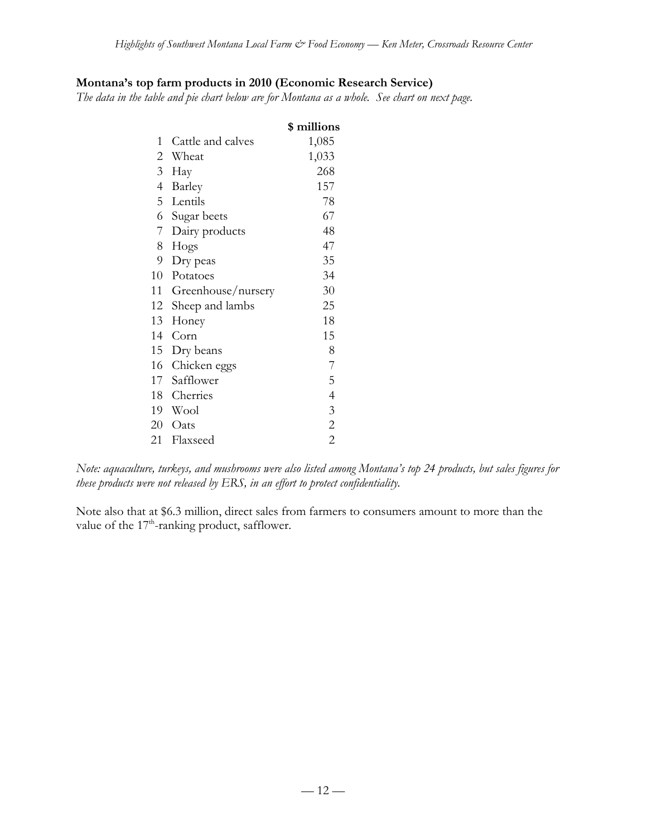## **Montana's top farm products in 2010 (Economic Research Service)**

*The data in the table and pie chart below are for Montana as a whole. See chart on next page.*

|                |                    | \$ millions    |
|----------------|--------------------|----------------|
| 1              | Cattle and calves  | 1,085          |
|                | 2 Wheat            | 1,033          |
| 3 <sup>7</sup> | Hay                | 268            |
| $\overline{4}$ | Barley             | 157            |
|                | 5 Lentils          | 78             |
|                | 6 Sugar beets      | 67             |
| 7              | Dairy products     | 48             |
| 8              | Hogs               | 47             |
| 9              | Dry peas           | 35             |
| 10             | Potatoes           | 34             |
| 11             | Greenhouse/nursery | 30             |
| 12             | Sheep and lambs    | 25             |
| 13             | Honey              | 18             |
| 14             | Corn               | 15             |
| 15             | Dry beans          | 8              |
| 16             | Chicken eggs       | 7              |
| 17             | Safflower          | 5              |
| 18             | Cherries           | $\overline{4}$ |
| 19             | Wool               | $\mathfrak{Z}$ |
| 20             | Oats               | $\overline{c}$ |
| 21             | Flaxseed           | $\overline{2}$ |

*Note: aquaculture, turkeys, and mushrooms were also listed among Montana's top 24 products, but sales figures for these products were not released by ERS, in an effort to protect confidentiality.*

Note also that at \$6.3 million, direct sales from farmers to consumers amount to more than the value of the  $17<sup>th</sup>$ -ranking product, safflower.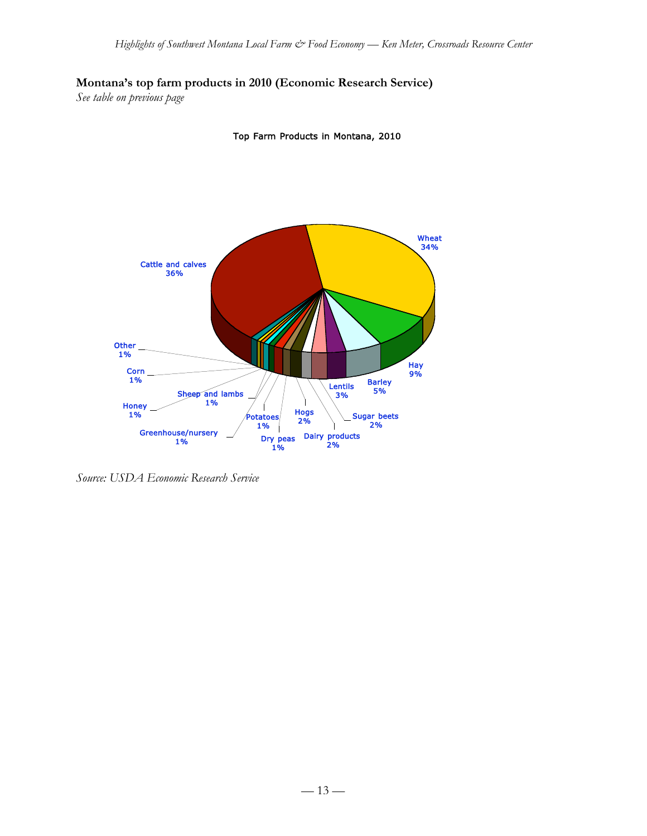**Montana's top farm products in 2010 (Economic Research Service)**

*See table on previous page*

Top Farm Products in Montana, 2010



*Source: USDA Economic Research Service*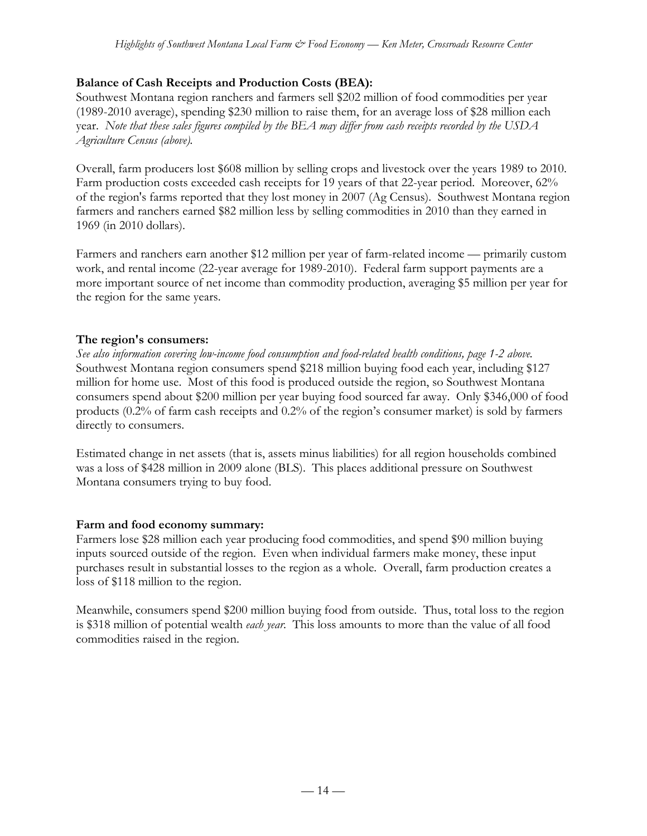# **Balance of Cash Receipts and Production Costs (BEA):**

Southwest Montana region ranchers and farmers sell \$202 million of food commodities per year (1989-2010 average), spending \$230 million to raise them, for an average loss of \$28 million each year. *Note that these sales figures compiled by the BEA may differ from cash receipts recorded by the USDA Agriculture Census (above).*

Overall, farm producers lost \$608 million by selling crops and livestock over the years 1989 to 2010. Farm production costs exceeded cash receipts for 19 years of that 22-year period. Moreover, 62% of the region's farms reported that they lost money in 2007 (Ag Census). Southwest Montana region farmers and ranchers earned \$82 million less by selling commodities in 2010 than they earned in 1969 (in 2010 dollars).

Farmers and ranchers earn another \$12 million per year of farm-related income — primarily custom work, and rental income (22-year average for 1989-2010). Federal farm support payments are a more important source of net income than commodity production, averaging \$5 million per year for the region for the same years.

# **The region's consumers:**

*See also information covering low-income food consumption and food-related health conditions, page 1-2 above.* Southwest Montana region consumers spend \$218 million buying food each year, including \$127 million for home use. Most of this food is produced outside the region, so Southwest Montana consumers spend about \$200 million per year buying food sourced far away. Only \$346,000 of food products (0.2% of farm cash receipts and 0.2% of the region's consumer market) is sold by farmers directly to consumers.

Estimated change in net assets (that is, assets minus liabilities) for all region households combined was a loss of \$428 million in 2009 alone (BLS). This places additional pressure on Southwest Montana consumers trying to buy food.

# **Farm and food economy summary:**

Farmers lose \$28 million each year producing food commodities, and spend \$90 million buying inputs sourced outside of the region. Even when individual farmers make money, these input purchases result in substantial losses to the region as a whole. Overall, farm production creates a loss of \$118 million to the region.

Meanwhile, consumers spend \$200 million buying food from outside. Thus, total loss to the region is \$318 million of potential wealth *each year*. This loss amounts to more than the value of all food commodities raised in the region.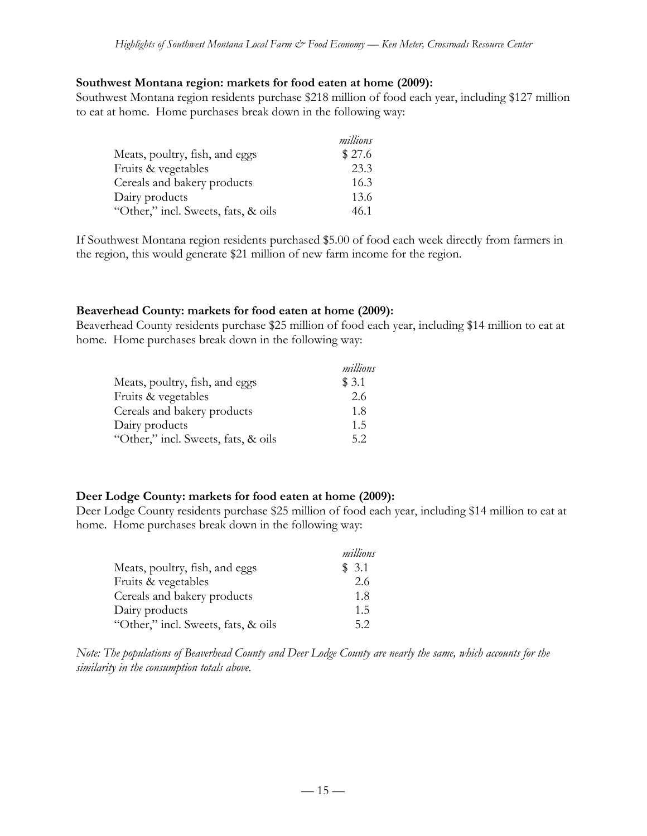#### **Southwest Montana region: markets for food eaten at home (2009):**

Southwest Montana region residents purchase \$218 million of food each year, including \$127 million to eat at home. Home purchases break down in the following way:

|                                     | millions |
|-------------------------------------|----------|
| Meats, poultry, fish, and eggs      | \$27.6   |
| Fruits & vegetables                 | 23.3     |
| Cereals and bakery products         | 16.3     |
| Dairy products                      | 13.6     |
| "Other," incl. Sweets, fats, & oils | 46.1     |

If Southwest Montana region residents purchased \$5.00 of food each week directly from farmers in the region, this would generate \$21 million of new farm income for the region.

### **Beaverhead County: markets for food eaten at home (2009):**

Beaverhead County residents purchase \$25 million of food each year, including \$14 million to eat at home. Home purchases break down in the following way:

|                                     | millions |
|-------------------------------------|----------|
| Meats, poultry, fish, and eggs      | \$3.1    |
| Fruits & vegetables                 | 2.6      |
| Cereals and bakery products         | 1.8      |
| Dairy products                      | 1.5      |
| "Other," incl. Sweets, fats, & oils | 5.2      |

### **Deer Lodge County: markets for food eaten at home (2009):**

Deer Lodge County residents purchase \$25 million of food each year, including \$14 million to eat at home. Home purchases break down in the following way:

|                                     | millions |
|-------------------------------------|----------|
| Meats, poultry, fish, and eggs      | \$3.1    |
| Fruits & vegetables                 | 2.6      |
| Cereals and bakery products         | 1.8      |
| Dairy products                      | 1.5      |
| "Other," incl. Sweets, fats, & oils | 52       |

*Note: The populations of Beaverhead County and Deer Lodge County are nearly the same, which accounts for the similarity in the consumption totals above.*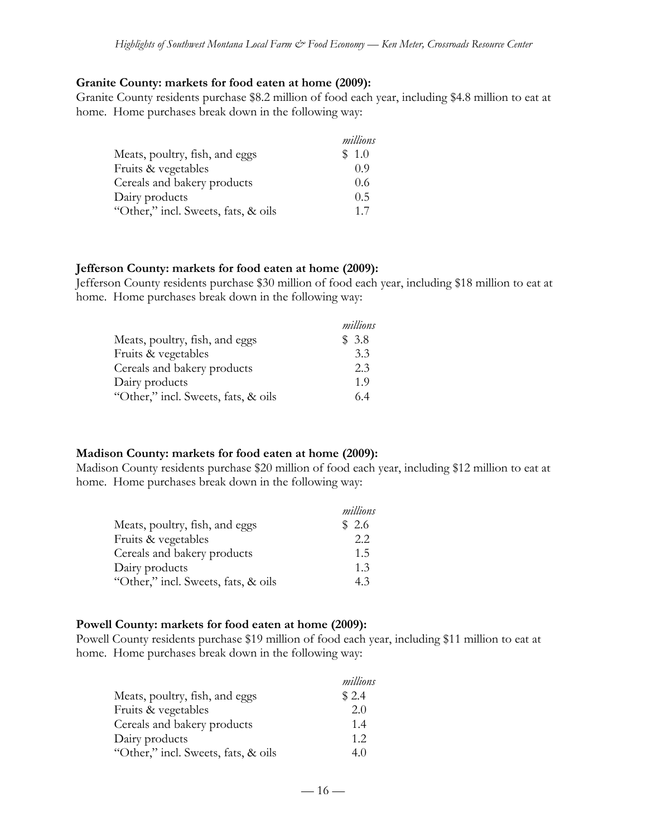#### **Granite County: markets for food eaten at home (2009):**

Granite County residents purchase \$8.2 million of food each year, including \$4.8 million to eat at home. Home purchases break down in the following way:

|                                     | millions |
|-------------------------------------|----------|
| Meats, poultry, fish, and eggs      | \$1.0    |
| Fruits & vegetables                 | 0.9      |
| Cereals and bakery products         | 0.6      |
| Dairy products                      | 0.5      |
| "Other," incl. Sweets, fats, & oils | 17       |

#### **Jefferson County: markets for food eaten at home (2009):**

Jefferson County residents purchase \$30 million of food each year, including \$18 million to eat at home. Home purchases break down in the following way:

|                                     | millions |
|-------------------------------------|----------|
| Meats, poultry, fish, and eggs      | \$3.8    |
| Fruits & vegetables                 | 3.3      |
| Cereals and bakery products         | 2.3      |
| Dairy products                      | 1.9      |
| "Other," incl. Sweets, fats, & oils | 64       |

### **Madison County: markets for food eaten at home (2009):**

Madison County residents purchase \$20 million of food each year, including \$12 million to eat at home. Home purchases break down in the following way:

|                                     | millions |
|-------------------------------------|----------|
| Meats, poultry, fish, and eggs      | \$2.6    |
| Fruits & vegetables                 | 2.2      |
| Cereals and bakery products         | 1.5      |
| Dairy products                      | 1.3      |
| "Other," incl. Sweets, fats, & oils | 4.3      |

### **Powell County: markets for food eaten at home (2009):**

Powell County residents purchase \$19 million of food each year, including \$11 million to eat at home. Home purchases break down in the following way:

|                                     | millions |
|-------------------------------------|----------|
| Meats, poultry, fish, and eggs      | \$2.4    |
| Fruits & vegetables                 | 2.0      |
| Cereals and bakery products         | 1.4      |
| Dairy products                      | 1.2      |
| "Other," incl. Sweets, fats, & oils | 4.0      |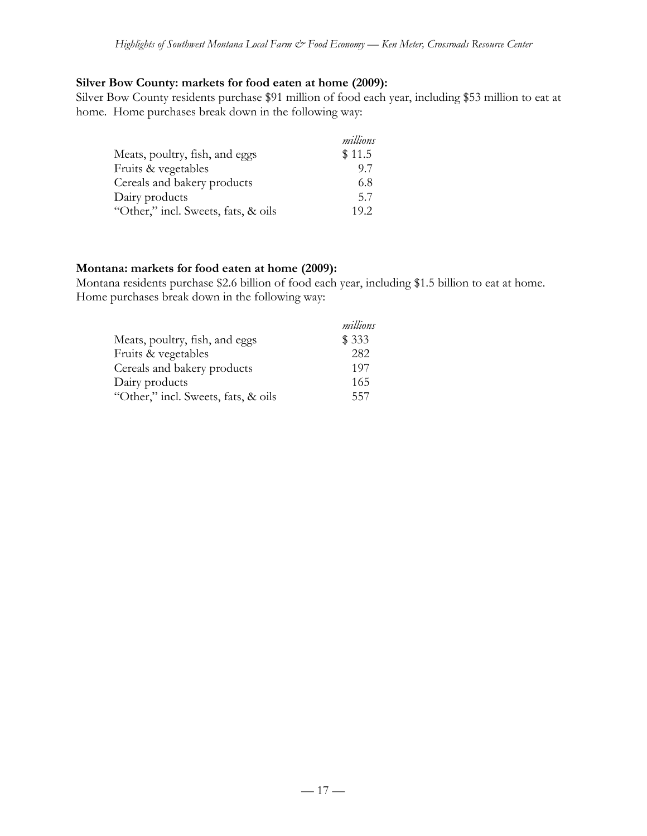#### **Silver Bow County: markets for food eaten at home (2009):**

Silver Bow County residents purchase \$91 million of food each year, including \$53 million to eat at home. Home purchases break down in the following way:

|                                     | millions |
|-------------------------------------|----------|
| Meats, poultry, fish, and eggs      | \$11.5   |
| Fruits & vegetables                 | 97       |
| Cereals and bakery products         | 6.8      |
| Dairy products                      | 5.7      |
| "Other," incl. Sweets, fats, & oils | 19.2     |

#### **Montana: markets for food eaten at home (2009):**

Montana residents purchase \$2.6 billion of food each year, including \$1.5 billion to eat at home. Home purchases break down in the following way:

|                                     | millions |
|-------------------------------------|----------|
| Meats, poultry, fish, and eggs      | \$333    |
| Fruits & vegetables                 | 282      |
| Cereals and bakery products         | 197      |
| Dairy products                      | 165      |
| "Other," incl. Sweets, fats, & oils | 557      |